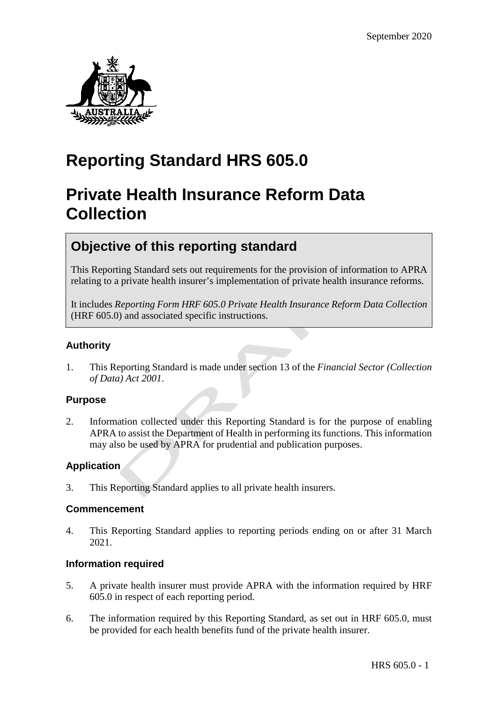

# **Reporting Standard HRS 605.0**

# **Private Health Insurance Reform Data Collection**

# **Objective of this reporting standard**

This Reporting Standard sets out requirements for the provision of information to APRA relating to a private health insurer's implementation of private health insurance reforms.

It includes *Reporting Form HRF 605.0 Private Health Insurance Reform Data Collection* (HRF 605.0) and associated specific instructions.

## **Authority**

1. This Reporting Standard is made under section 13 of the *Financial Sector (Collection of Data) Act 2001*.

### **Purpose**

2. Information collected under this Reporting Standard is for the purpose of enabling APRA to assist the Department of Health in performing its functions. This information may also be used by APRA for prudential and publication purposes.

### **Application**

3. This Reporting Standard applies to all private health insurers.

### **Commencement**

4. This Reporting Standard applies to reporting periods ending on or after 31 March 2021.

### **Information required**

- 5. A private health insurer must provide APRA with the information required by HRF 605.0 in respect of each reporting period.
- 6. The information required by this Reporting Standard, as set out in HRF 605.0, must be provided for each health benefits fund of the private health insurer.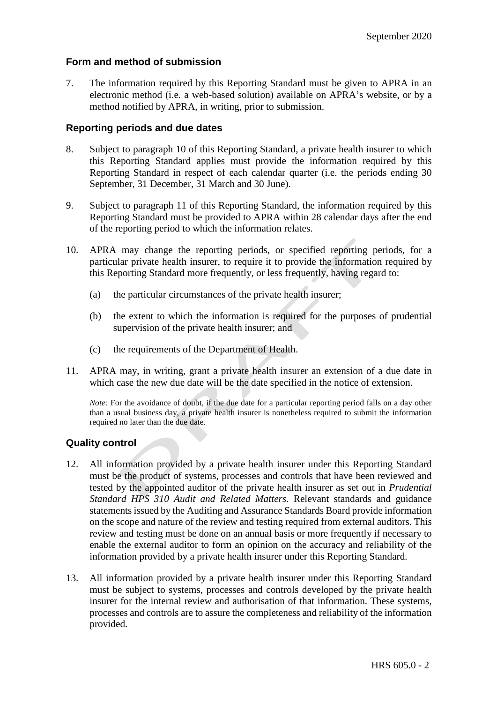#### **Form and method of submission**

7. The information required by this Reporting Standard must be given to APRA in an electronic method (i.e. a web-based solution) available on APRA's website, or by a method notified by APRA, in writing, prior to submission.

#### **Reporting periods and due dates**

- 8. Subject to paragraph 10 of this Reporting Standard, a private health insurer to which this Reporting Standard applies must provide the information required by this Reporting Standard in respect of each calendar quarter (i.e. the periods ending 30 September, 31 December, 31 March and 30 June).
- 9. Subject to paragraph 11 of this Reporting Standard, the information required by this Reporting Standard must be provided to APRA within 28 calendar days after the end of the reporting period to which the information relates.
- 10. APRA may change the reporting periods, or specified reporting periods, for a particular private health insurer, to require it to provide the information required by this Reporting Standard more frequently, or less frequently, having regard to:
	- (a) the particular circumstances of the private health insurer;
	- (b) the extent to which the information is required for the purposes of prudential supervision of the private health insurer; and
	- (c) the requirements of the Department of Health.
- 11. APRA may, in writing, grant a private health insurer an extension of a due date in which case the new due date will be the date specified in the notice of extension.

*Note:* For the avoidance of doubt, if the due date for a particular reporting period falls on a day other than a usual business day, a private health insurer is nonetheless required to submit the information required no later than the due date.

### **Quality control**

- 12. All information provided by a private health insurer under this Reporting Standard must be the product of systems, processes and controls that have been reviewed and tested by the appointed auditor of the private health insurer as set out in *Prudential Standard HPS 310 Audit and Related Matters*. Relevant standards and guidance statements issued by the Auditing and Assurance Standards Board provide information on the scope and nature of the review and testing required from external auditors. This review and testing must be done on an annual basis or more frequently if necessary to enable the external auditor to form an opinion on the accuracy and reliability of the information provided by a private health insurer under this Reporting Standard.
- 13. All information provided by a private health insurer under this Reporting Standard must be subject to systems, processes and controls developed by the private health insurer for the internal review and authorisation of that information. These systems, processes and controls are to assure the completeness and reliability of the information provided.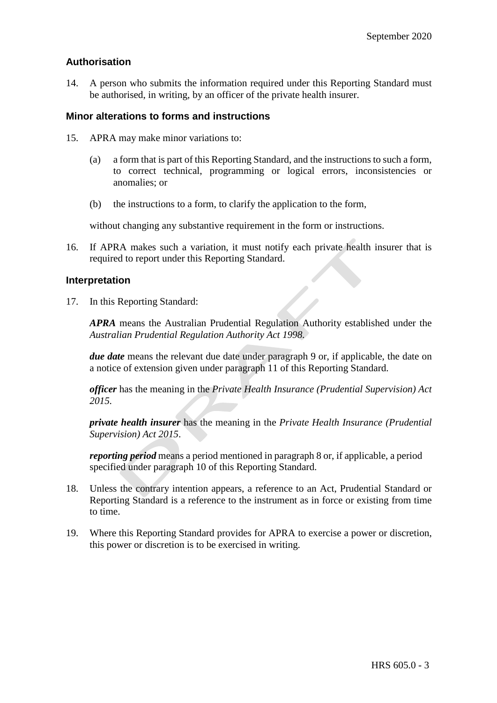### **Authorisation**

14. A person who submits the information required under this Reporting Standard must be authorised, in writing, by an officer of the private health insurer.

### **Minor alterations to forms and instructions**

- 15. APRA may make minor variations to:
	- (a) a form that is part of this Reporting Standard, and the instructions to such a form, to correct technical, programming or logical errors, inconsistencies or anomalies; or
	- (b) the instructions to a form, to clarify the application to the form,

without changing any substantive requirement in the form or instructions.

16. If APRA makes such a variation, it must notify each private health insurer that is required to report under this Reporting Standard.

#### **Interpretation**

17. In this Reporting Standard:

*APRA* means the Australian Prudential Regulation Authority established under the *Australian Prudential Regulation Authority Act 1998.*

*due date* means the relevant due date under paragraph 9 or, if applicable, the date on a notice of extension given under paragraph 11 of this Reporting Standard.

*officer* has the meaning in the *Private Health Insurance (Prudential Supervision) Act 2015.*

*private health insurer* has the meaning in the *Private Health Insurance (Prudential Supervision) Act 2015*.

*reporting period* means a period mentioned in paragraph 8 or, if applicable, a period specified under paragraph 10 of this Reporting Standard.

- 18. Unless the contrary intention appears, a reference to an Act, Prudential Standard or Reporting Standard is a reference to the instrument as in force or existing from time to time.
- 19. Where this Reporting Standard provides for APRA to exercise a power or discretion, this power or discretion is to be exercised in writing.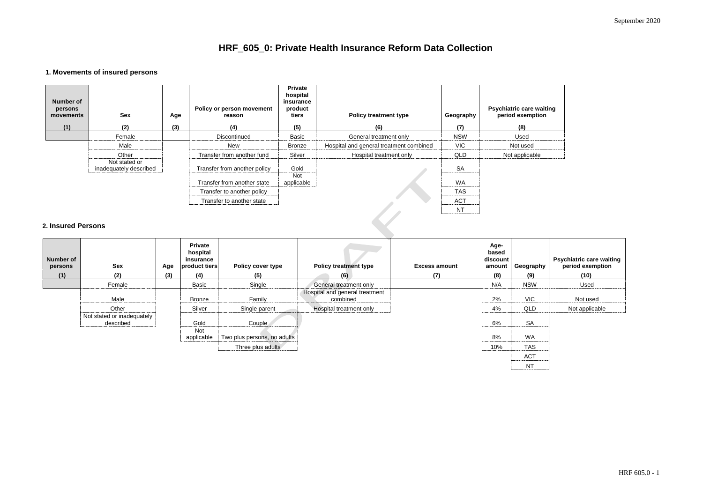| e waiting<br>iption |
|---------------------|
|                     |
| d                   |
| able                |

# **HRF\_605\_0: Private Health Insurance Reform Data Collection**

## **1. Movements of insured persons**

| Number of<br>persons<br>movements<br>(1) | Sex<br>(2)                              | Age<br>(3) | <b>Policy or person movement</b><br>reason<br>(4) | <b>Private</b><br>hospital<br>insurance<br>product<br>tiers<br>(5) | <b>Policy treatment type</b><br>(6)     | Geography<br>(7) | <b>Psychiatric care waiting</b><br>period exemption<br>(8) |
|------------------------------------------|-----------------------------------------|------------|---------------------------------------------------|--------------------------------------------------------------------|-----------------------------------------|------------------|------------------------------------------------------------|
|                                          | Female                                  |            | Discontinued                                      | Basic                                                              | General treatment only                  | <b>NSW</b>       | Used                                                       |
|                                          | Male                                    |            | New                                               | <b>Bronze</b>                                                      | Hospital and general treatment combined | <b>VIC</b>       | Not used                                                   |
|                                          | Other                                   |            | Transfer from another fund                        | Silver                                                             | Hospital treatment only                 | QLD              | Not applicable                                             |
|                                          | Not stated or<br>inadequately described |            | Transfer from another policy                      | Gold<br><b>Not</b>                                                 |                                         | <b>SA</b>        |                                                            |
|                                          |                                         |            | Transfer from another state                       | applicable                                                         |                                         | <b>WA</b>        |                                                            |
|                                          |                                         |            | Transfer to another policy                        |                                                                    |                                         | <b>TAS</b>       |                                                            |
|                                          |                                         |            | Transfer to another state                         |                                                                    |                                         | <b>ACT</b>       |                                                            |
| 2. Insured Persons                       |                                         |            |                                                   |                                                                    |                                         | <b>NT</b>        |                                                            |

## **2. Insured Persons**

| Number of<br>persons<br>(1) | <b>Sex</b><br>(2)                       | Age<br>(3) | <b>Private</b><br>hospital<br>insurance<br>product tiers<br>(4) | <b>Policy cover type</b><br>(5) | <b>Policy treatment type</b><br>(6)        | <b>Excess amount</b><br>(7) | Age-<br>based<br>discount<br>amount<br>(8) | Geography<br>(9) | <b>Psychiatric care waiting<br/>period exemption</b><br>(10) |
|-----------------------------|-----------------------------------------|------------|-----------------------------------------------------------------|---------------------------------|--------------------------------------------|-----------------------------|--------------------------------------------|------------------|--------------------------------------------------------------|
|                             | Female                                  |            | Basic                                                           | Single                          | General treatment only                     |                             | N/A                                        | <b>NSW</b>       | Used                                                         |
|                             | Male                                    |            | <b>Bronze</b>                                                   | Family                          | Hospital and general treatment<br>combined |                             | 2%                                         | <b>VIC</b>       | Not used                                                     |
|                             | Other                                   |            | Silver                                                          | Single parent                   | Hospital treatment only                    |                             | 4%                                         | <b>QLD</b>       | Not applicable                                               |
|                             | Not stated or inadequately<br>described |            | Gold<br>Not                                                     | Couple                          |                                            |                             | 6%                                         | <b>SA</b>        |                                                              |
|                             |                                         |            | applicable                                                      | Two plus persons, no adults     |                                            |                             | 8%                                         | WA               |                                                              |
|                             |                                         |            |                                                                 | Three plus adults               |                                            |                             | 10%                                        | <b>TAS</b>       |                                                              |
|                             |                                         |            |                                                                 |                                 |                                            |                             |                                            | <b>ACT</b>       |                                                              |
|                             |                                         |            |                                                                 |                                 |                                            |                             |                                            | <b>NT</b>        |                                                              |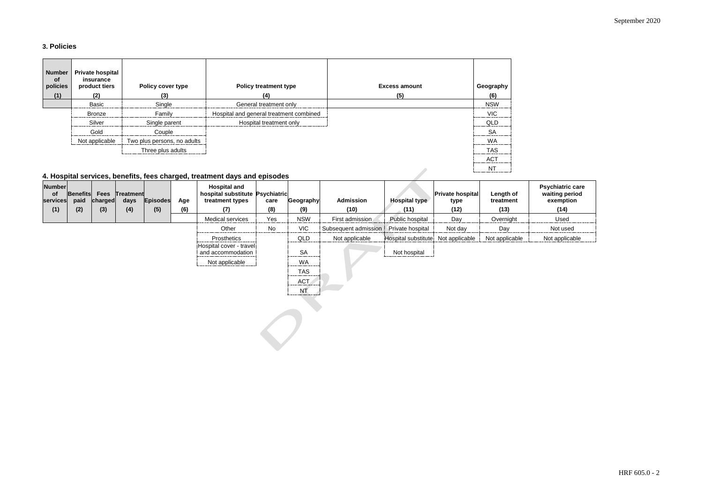## **3. Policies**

| <b>Number</b><br><b>of</b><br>policies | <b>Private hospital</b><br>insurance<br>product tiers | <b>Policy cover type</b>    | <b>Policy treatment type</b>            | <b>Excess amount</b> | Geography  |
|----------------------------------------|-------------------------------------------------------|-----------------------------|-----------------------------------------|----------------------|------------|
| (1)                                    | (2)                                                   | (3)                         | (4)                                     | (5)                  | (6)        |
|                                        | <b>Basic</b>                                          | Single                      | General treatment only                  |                      | <b>NSW</b> |
|                                        | <b>Bronze</b>                                         | Family                      | Hospital and general treatment combined |                      | VIC.       |
|                                        | Silver                                                | Single parent               | Hospital treatment only                 |                      | QLD        |
|                                        | Gold                                                  | Couple                      |                                         |                      | <b>SA</b>  |
|                                        | Not applicable                                        | Two plus persons, no adults |                                         |                      | <b>WA</b>  |
|                                        |                                                       | Three plus adults           |                                         |                      | <b>TAS</b> |
|                                        |                                                       |                             |                                         |                      | <b>ACT</b> |
|                                        |                                                       |                             |                                         |                      | <b>NT</b>  |

## **4. Hospital services, benefits, fees charged, treatment days and episodes**

| <b>Number</b><br>of<br>services<br>(1) | <b>Benefits</b><br>paid<br>(2) | <b>Fees</b><br>charged<br>(3) | Treatment<br>days<br>(4) | <b>Episodes</b><br>(5) | Age<br>(6) | <b>Hospital and</b><br>hospital substitute Psychiatric<br>treatment types<br>(7) | care<br>(8) | Geography<br>(9)             | <b>Admission</b><br>(10) | Hospital type<br>(11) | <b>Private hospital</b><br>type<br>(12) | Length of<br>treatment<br>(13) | <b>Psychiatric care</b><br>waiting period<br>exemption<br>(14) |
|----------------------------------------|--------------------------------|-------------------------------|--------------------------|------------------------|------------|----------------------------------------------------------------------------------|-------------|------------------------------|--------------------------|-----------------------|-----------------------------------------|--------------------------------|----------------------------------------------------------------|
|                                        |                                |                               |                          |                        |            | <b>Medical services</b>                                                          | Yes         | <b>NSW</b>                   | First admission          | Public hospital       | Day                                     | Overnight                      | Used                                                           |
|                                        |                                |                               |                          |                        |            |                                                                                  |             |                              |                          |                       |                                         |                                |                                                                |
|                                        |                                |                               |                          |                        |            | Other                                                                            | No          | <b>VIC</b>                   | Subsequent admission     | Private hospital      | Not day                                 | Day                            | Not used                                                       |
|                                        |                                |                               |                          |                        |            | Prosthetics                                                                      |             | QLD                          | Not applicable           | Hospital substitute   | Not applicable                          | Not applicable                 | Not applicable                                                 |
|                                        |                                |                               |                          |                        |            | Hospital cover - travel<br>and accommodation                                     |             | <b>SA</b><br>-----------     |                          | Not hospital          |                                         |                                |                                                                |
|                                        |                                |                               |                          |                        |            | Not applicable                                                                   |             | <b>WA</b><br>--------------- |                          |                       |                                         |                                |                                                                |
|                                        |                                |                               |                          |                        |            |                                                                                  |             | <b>TAS</b>                   |                          |                       |                                         |                                |                                                                |
|                                        |                                |                               |                          |                        |            |                                                                                  |             | <b>ACT</b><br>               |                          |                       |                                         |                                |                                                                |

NT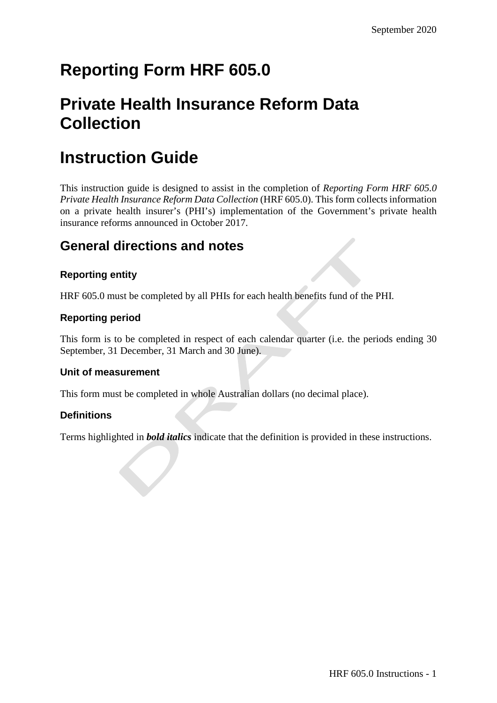# **Reporting Form HRF 605.0**

# **Private Health Insurance Reform Data Collection**

# **Instruction Guide**

This instruction guide is designed to assist in the completion of *Reporting Form HRF 605.0 Private Health Insurance Reform Data Collection* (HRF 605.0). This form collects information on a private health insurer's (PHI's) implementation of the Government's private health insurance reforms announced in October 2017.

## **General directions and notes**

## **Reporting entity**

HRF 605.0 must be completed by all PHIs for each health benefits fund of the PHI.

## **Reporting period**

This form is to be completed in respect of each calendar quarter (i.e. the periods ending 30 September, 31 December, 31 March and 30 June).

### **Unit of measurement**

This form must be completed in whole Australian dollars (no decimal place).

## **Definitions**

Terms highlighted in *bold italics* indicate that the definition is provided in these instructions.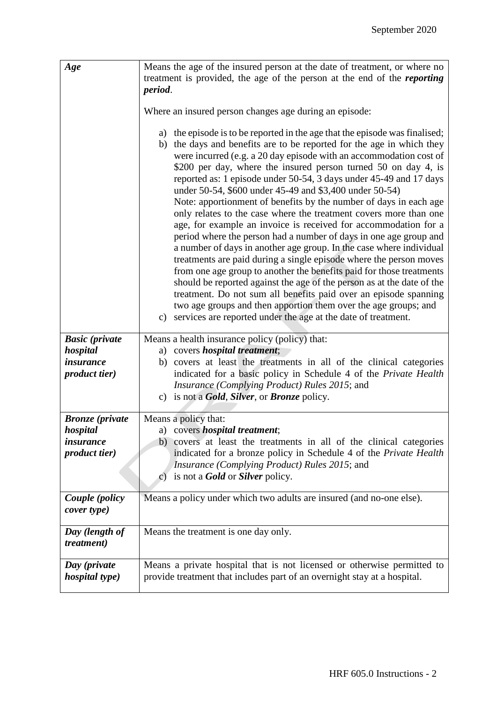| Age                                   | Means the age of the insured person at the date of treatment, or where no<br>treatment is provided, the age of the person at the end of the <i>reporting</i>                                                                                                                                                                                                                                                                                                                                                                                                                                                                                                                                                                                                                                                                                                                                                                                                                                                                                                                                                                                                                                                              |
|---------------------------------------|---------------------------------------------------------------------------------------------------------------------------------------------------------------------------------------------------------------------------------------------------------------------------------------------------------------------------------------------------------------------------------------------------------------------------------------------------------------------------------------------------------------------------------------------------------------------------------------------------------------------------------------------------------------------------------------------------------------------------------------------------------------------------------------------------------------------------------------------------------------------------------------------------------------------------------------------------------------------------------------------------------------------------------------------------------------------------------------------------------------------------------------------------------------------------------------------------------------------------|
|                                       | period.                                                                                                                                                                                                                                                                                                                                                                                                                                                                                                                                                                                                                                                                                                                                                                                                                                                                                                                                                                                                                                                                                                                                                                                                                   |
|                                       | Where an insured person changes age during an episode:                                                                                                                                                                                                                                                                                                                                                                                                                                                                                                                                                                                                                                                                                                                                                                                                                                                                                                                                                                                                                                                                                                                                                                    |
|                                       | a) the episode is to be reported in the age that the episode was finalised;<br>b) the days and benefits are to be reported for the age in which they<br>were incurred (e.g. a 20 day episode with an accommodation cost of<br>\$200 per day, where the insured person turned 50 on day 4, is<br>reported as: 1 episode under 50-54, 3 days under 45-49 and 17 days<br>under 50-54, \$600 under 45-49 and \$3,400 under 50-54)<br>Note: apportionment of benefits by the number of days in each age<br>only relates to the case where the treatment covers more than one<br>age, for example an invoice is received for accommodation for a<br>period where the person had a number of days in one age group and<br>a number of days in another age group. In the case where individual<br>treatments are paid during a single episode where the person moves<br>from one age group to another the benefits paid for those treatments<br>should be reported against the age of the person as at the date of the<br>treatment. Do not sum all benefits paid over an episode spanning<br>two age groups and then apportion them over the age groups; and<br>c) services are reported under the age at the date of treatment. |
| <b>Basic</b> (private                 | Means a health insurance policy (policy) that:                                                                                                                                                                                                                                                                                                                                                                                                                                                                                                                                                                                                                                                                                                                                                                                                                                                                                                                                                                                                                                                                                                                                                                            |
| hospital<br>insurance                 | a) covers <i>hospital treatment</i> ;                                                                                                                                                                                                                                                                                                                                                                                                                                                                                                                                                                                                                                                                                                                                                                                                                                                                                                                                                                                                                                                                                                                                                                                     |
| product tier)                         | covers at least the treatments in all of the clinical categories<br>b)<br>indicated for a basic policy in Schedule 4 of the Private Health                                                                                                                                                                                                                                                                                                                                                                                                                                                                                                                                                                                                                                                                                                                                                                                                                                                                                                                                                                                                                                                                                |
|                                       | Insurance (Complying Product) Rules 2015; and                                                                                                                                                                                                                                                                                                                                                                                                                                                                                                                                                                                                                                                                                                                                                                                                                                                                                                                                                                                                                                                                                                                                                                             |
|                                       | c) is not a <b>Gold</b> , <b>Silver</b> , or <b>Bronze</b> policy.                                                                                                                                                                                                                                                                                                                                                                                                                                                                                                                                                                                                                                                                                                                                                                                                                                                                                                                                                                                                                                                                                                                                                        |
| <b>Bronze</b> (private                | Means a policy that:                                                                                                                                                                                                                                                                                                                                                                                                                                                                                                                                                                                                                                                                                                                                                                                                                                                                                                                                                                                                                                                                                                                                                                                                      |
| hospital                              | a) covers <i>hospital treatment</i> ;                                                                                                                                                                                                                                                                                                                                                                                                                                                                                                                                                                                                                                                                                                                                                                                                                                                                                                                                                                                                                                                                                                                                                                                     |
| insurance                             | b) covers at least the treatments in all of the clinical categories                                                                                                                                                                                                                                                                                                                                                                                                                                                                                                                                                                                                                                                                                                                                                                                                                                                                                                                                                                                                                                                                                                                                                       |
| <i>product tier</i> )                 | indicated for a bronze policy in Schedule 4 of the Private Health                                                                                                                                                                                                                                                                                                                                                                                                                                                                                                                                                                                                                                                                                                                                                                                                                                                                                                                                                                                                                                                                                                                                                         |
|                                       | <i>Insurance (Complying Product) Rules 2015; and</i>                                                                                                                                                                                                                                                                                                                                                                                                                                                                                                                                                                                                                                                                                                                                                                                                                                                                                                                                                                                                                                                                                                                                                                      |
|                                       | is not a <b>Gold</b> or <b>Silver</b> policy.<br>$\mathcal{C}$ )                                                                                                                                                                                                                                                                                                                                                                                                                                                                                                                                                                                                                                                                                                                                                                                                                                                                                                                                                                                                                                                                                                                                                          |
| Couple (policy<br>cover type)         | Means a policy under which two adults are insured (and no-one else).                                                                                                                                                                                                                                                                                                                                                                                                                                                                                                                                                                                                                                                                                                                                                                                                                                                                                                                                                                                                                                                                                                                                                      |
|                                       |                                                                                                                                                                                                                                                                                                                                                                                                                                                                                                                                                                                                                                                                                                                                                                                                                                                                                                                                                                                                                                                                                                                                                                                                                           |
| Day (length of<br><i>treatment</i> )  | Means the treatment is one day only.                                                                                                                                                                                                                                                                                                                                                                                                                                                                                                                                                                                                                                                                                                                                                                                                                                                                                                                                                                                                                                                                                                                                                                                      |
| Day (private<br><i>hospital type)</i> | Means a private hospital that is not licensed or otherwise permitted to<br>provide treatment that includes part of an overnight stay at a hospital.                                                                                                                                                                                                                                                                                                                                                                                                                                                                                                                                                                                                                                                                                                                                                                                                                                                                                                                                                                                                                                                                       |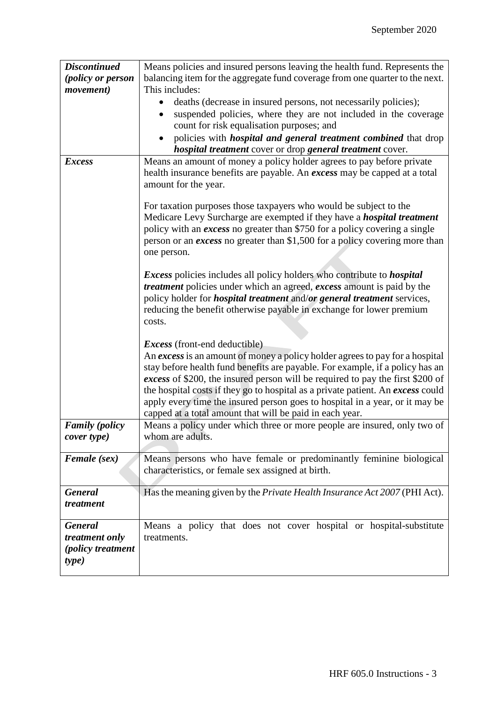| <b>Discontinued</b>        | Means policies and insured persons leaving the health fund. Represents the                                                           |
|----------------------------|--------------------------------------------------------------------------------------------------------------------------------------|
| (policy or person          | balancing item for the aggregate fund coverage from one quarter to the next.                                                         |
| <i>movement</i> )          | This includes:                                                                                                                       |
|                            | deaths (decrease in insured persons, not necessarily policies);                                                                      |
|                            | suspended policies, where they are not included in the coverage                                                                      |
|                            | count for risk equalisation purposes; and                                                                                            |
|                            | policies with <i>hospital and general treatment combined</i> that drop                                                               |
|                            | hospital treatment cover or drop general treatment cover.                                                                            |
| <b>Excess</b>              | Means an amount of money a policy holder agrees to pay before private                                                                |
|                            | health insurance benefits are payable. An excess may be capped at a total                                                            |
|                            | amount for the year.                                                                                                                 |
|                            | For taxation purposes those taxpayers who would be subject to the                                                                    |
|                            | Medicare Levy Surcharge are exempted if they have a <i>hospital treatment</i>                                                        |
|                            | policy with an excess no greater than \$750 for a policy covering a single                                                           |
|                            | person or an excess no greater than \$1,500 for a policy covering more than                                                          |
|                            | one person.                                                                                                                          |
|                            | <i>Excess</i> policies includes all policy holders who contribute to <i>hospital</i>                                                 |
|                            | <i>treatment</i> policies under which an agreed, <i>excess</i> amount is paid by the                                                 |
|                            | policy holder for <i>hospital treatment</i> and/or general treatment services,                                                       |
|                            | reducing the benefit otherwise payable in exchange for lower premium                                                                 |
|                            | costs.                                                                                                                               |
|                            |                                                                                                                                      |
|                            | <i>Excess</i> (front-end deductible)                                                                                                 |
|                            | An excess is an amount of money a policy holder agrees to pay for a hospital                                                         |
|                            | stay before health fund benefits are payable. For example, if a policy has an                                                        |
|                            | excess of \$200, the insured person will be required to pay the first \$200 of                                                       |
|                            | the hospital costs if they go to hospital as a private patient. An excess could                                                      |
|                            | apply every time the insured person goes to hospital in a year, or it may be                                                         |
| <b>Family</b> (policy      | capped at a total amount that will be paid in each year.<br>Means a policy under which three or more people are insured, only two of |
| cover type)                | whom are adults.                                                                                                                     |
|                            |                                                                                                                                      |
| Female (sex)               | Means persons who have female or predominantly feminine biological                                                                   |
|                            | characteristics, or female sex assigned at birth.                                                                                    |
|                            |                                                                                                                                      |
| <b>General</b>             | Has the meaning given by the <i>Private Health Insurance Act 2007</i> (PHI Act).                                                     |
| treatment                  |                                                                                                                                      |
| <b>General</b>             | Means a policy that does not cover hospital or hospital-substitute                                                                   |
| treatment only             | treatments.                                                                                                                          |
| <i>(policy treatment</i> ) |                                                                                                                                      |
| type)                      |                                                                                                                                      |
|                            |                                                                                                                                      |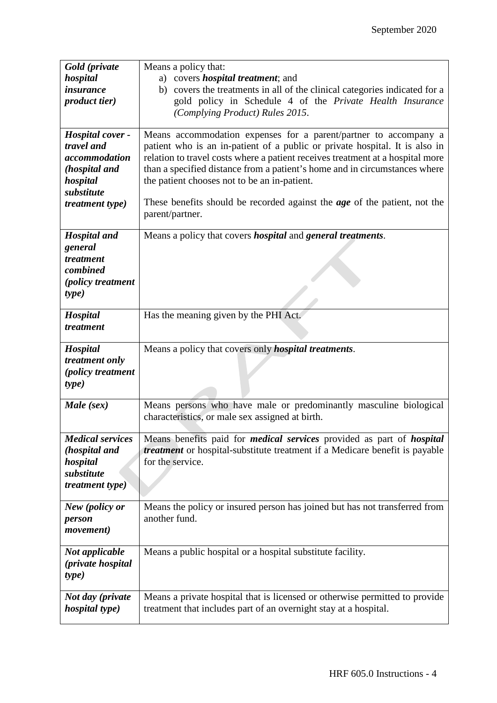| Gold (private              | Means a policy that:                                                                |
|----------------------------|-------------------------------------------------------------------------------------|
| hospital                   | a) covers <i>hospital treatment</i> ; and                                           |
| <i>insurance</i>           | b) covers the treatments in all of the clinical categories indicated for a          |
| <i>product tier</i> )      | gold policy in Schedule 4 of the Private Health Insurance                           |
|                            | (Complying Product) Rules 2015.                                                     |
|                            |                                                                                     |
| Hospital cover -           | Means accommodation expenses for a parent/partner to accompany a                    |
| travel and                 | patient who is an in-patient of a public or private hospital. It is also in         |
| accommodation              | relation to travel costs where a patient receives treatment at a hospital more      |
| (hospital and              | than a specified distance from a patient's home and in circumstances where          |
| hospital                   | the patient chooses not to be an in-patient.                                        |
| substitute                 |                                                                                     |
| treatment type)            | These benefits should be recorded against the <i>age</i> of the patient, not the    |
|                            | parent/partner.                                                                     |
|                            |                                                                                     |
| <b>Hospital</b> and        | Means a policy that covers <i>hospital</i> and <i>general treatments</i> .          |
| general                    |                                                                                     |
| treatment                  |                                                                                     |
| combined                   |                                                                                     |
| (policy treatment          |                                                                                     |
| type)                      |                                                                                     |
| Hospital                   | Has the meaning given by the PHI Act.                                               |
| treatment                  |                                                                                     |
|                            |                                                                                     |
|                            |                                                                                     |
| Hospital                   | Means a policy that covers only <i>hospital treatments</i> .                        |
| treatment only             |                                                                                     |
| <i>(policy treatment</i> ) |                                                                                     |
| type)                      |                                                                                     |
|                            |                                                                                     |
| Male (sex)                 | Means persons who have male or predominantly masculine biological                   |
|                            | characteristics, or male sex assigned at birth.                                     |
|                            |                                                                                     |
| <b>Medical services</b>    | Means benefits paid for <i>medical services</i> provided as part of <i>hospital</i> |
| (hospital and              | <i>treatment</i> or hospital-substitute treatment if a Medicare benefit is payable  |
| hospital                   | for the service.                                                                    |
| substitute                 |                                                                                     |
| <i>treatment type</i> )    |                                                                                     |
| New (policy or             | Means the policy or insured person has joined but has not transferred from          |
| person                     | another fund.                                                                       |
| <i>movement</i> )          |                                                                                     |
|                            |                                                                                     |
| Not applicable             | Means a public hospital or a hospital substitute facility.                          |
| <i>(private hospital)</i>  |                                                                                     |
| type)                      |                                                                                     |
|                            |                                                                                     |
| Not day (private           | Means a private hospital that is licensed or otherwise permitted to provide         |
| <i>hospital type)</i>      | treatment that includes part of an overnight stay at a hospital.                    |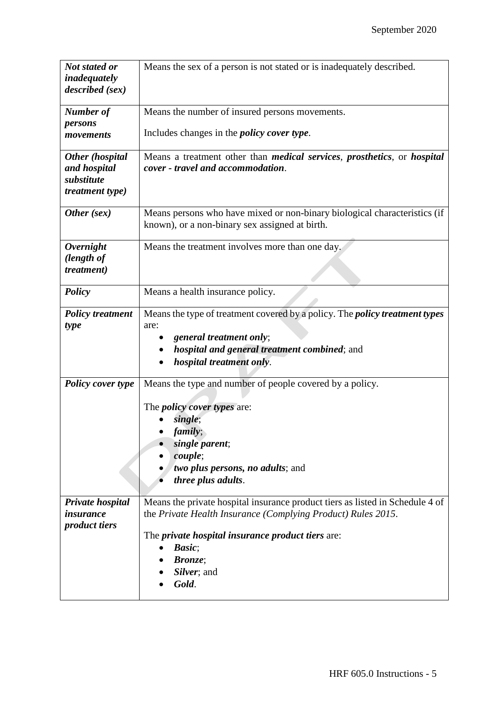| Not stated or<br>inadequately                                           | Means the sex of a person is not stated or is inadequately described.                                                                                                                                                                                                       |
|-------------------------------------------------------------------------|-----------------------------------------------------------------------------------------------------------------------------------------------------------------------------------------------------------------------------------------------------------------------------|
| described (sex)                                                         |                                                                                                                                                                                                                                                                             |
| <b>Number</b> of                                                        | Means the number of insured persons movements.                                                                                                                                                                                                                              |
| persons<br>movements                                                    | Includes changes in the <i>policy cover type</i> .                                                                                                                                                                                                                          |
| Other (hospital<br>and hospital<br>substitute<br><i>treatment type)</i> | Means a treatment other than <i>medical services</i> , <i>prosthetics</i> , or <i>hospital</i><br>cover - travel and accommodation.                                                                                                                                         |
| Other (sex)                                                             | Means persons who have mixed or non-binary biological characteristics (if<br>known), or a non-binary sex assigned at birth.                                                                                                                                                 |
| <b>Overnight</b><br>(length of<br>treatment)                            | Means the treatment involves more than one day.                                                                                                                                                                                                                             |
| <b>Policy</b>                                                           | Means a health insurance policy.                                                                                                                                                                                                                                            |
| <b>Policy treatment</b><br>type                                         | Means the type of treatment covered by a policy. The <i>policy treatment types</i><br>are:<br>general treatment only;<br>hospital and general treatment combined; and<br>hospital treatment only.                                                                           |
| <b>Policy cover type</b>                                                | Means the type and number of people covered by a policy.<br>The <i>policy cover types</i> are:<br>single;<br>family;<br>single parent;<br>couple;<br>two plus persons, no adults; and<br>three plus adults.                                                                 |
| Private hospital<br><i>insurance</i><br><i>product tiers</i>            | Means the private hospital insurance product tiers as listed in Schedule 4 of<br>the Private Health Insurance (Complying Product) Rules 2015.<br>The <i>private hospital insurance product tiers</i> are:<br>Basic;<br>$\bullet$<br><b>Bronze</b> ;<br>Silver; and<br>Gold. |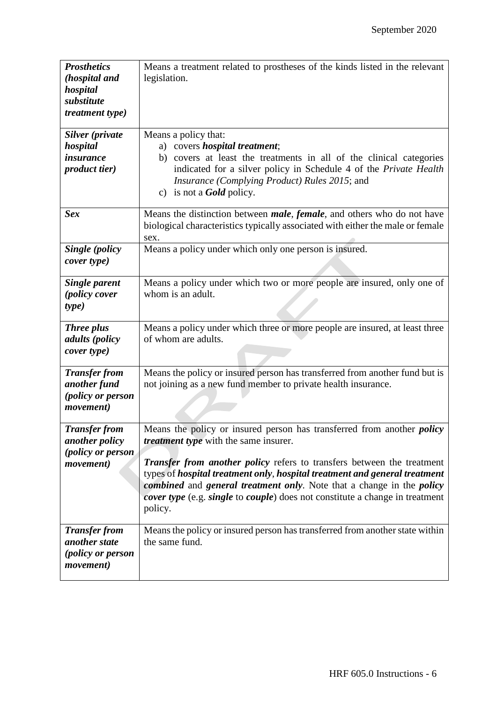| <b>Prosthetics</b><br>(hospital and<br>hospital<br>substitute<br><i>treatment type)</i> | Means a treatment related to prostheses of the kinds listed in the relevant<br>legislation.                                                                                                                                                                                                                                                                                                                                                                                            |
|-----------------------------------------------------------------------------------------|----------------------------------------------------------------------------------------------------------------------------------------------------------------------------------------------------------------------------------------------------------------------------------------------------------------------------------------------------------------------------------------------------------------------------------------------------------------------------------------|
| Silver (private<br>hospital<br><i>insurance</i><br><i>product tier</i> )                | Means a policy that:<br>a) covers <i>hospital treatment</i> ;<br>b) covers at least the treatments in all of the clinical categories<br>indicated for a silver policy in Schedule 4 of the Private Health<br>Insurance (Complying Product) Rules 2015; and<br>c) is not a <b>Gold</b> policy.                                                                                                                                                                                          |
| <b>Sex</b>                                                                              | Means the distinction between <i>male</i> , <i>female</i> , and others who do not have<br>biological characteristics typically associated with either the male or female<br>sex.                                                                                                                                                                                                                                                                                                       |
| <b>Single (policy</b><br>cover type)                                                    | Means a policy under which only one person is insured.                                                                                                                                                                                                                                                                                                                                                                                                                                 |
| <b>Single parent</b><br><i>(policy cover</i><br>type)                                   | Means a policy under which two or more people are insured, only one of<br>whom is an adult.                                                                                                                                                                                                                                                                                                                                                                                            |
| <b>Three plus</b><br><i>adults</i> ( <i>policy</i><br>cover type)                       | Means a policy under which three or more people are insured, at least three<br>of whom are adults.                                                                                                                                                                                                                                                                                                                                                                                     |
| <b>Transfer from</b><br>another fund<br>(policy or person<br><i>movement</i> )          | Means the policy or insured person has transferred from another fund but is<br>not joining as a new fund member to private health insurance.                                                                                                                                                                                                                                                                                                                                           |
| <b>Transfer from</b><br><i>another policy</i><br>(policy or person<br><i>movement</i> ) | Means the policy or insured person has transferred from another <i>policy</i><br><i>treatment type</i> with the same insurer.<br><b>Transfer from another policy refers to transfers between the treatment</b><br>types of hospital treatment only, hospital treatment and general treatment<br>combined and general treatment only. Note that a change in the policy<br><i>cover type</i> (e.g. <i>single</i> to <i>couple</i> ) does not constitute a change in treatment<br>policy. |
| <b>Transfer from</b><br>another state<br>(policy or person<br>movement)                 | Means the policy or insured person has transferred from another state within<br>the same fund.                                                                                                                                                                                                                                                                                                                                                                                         |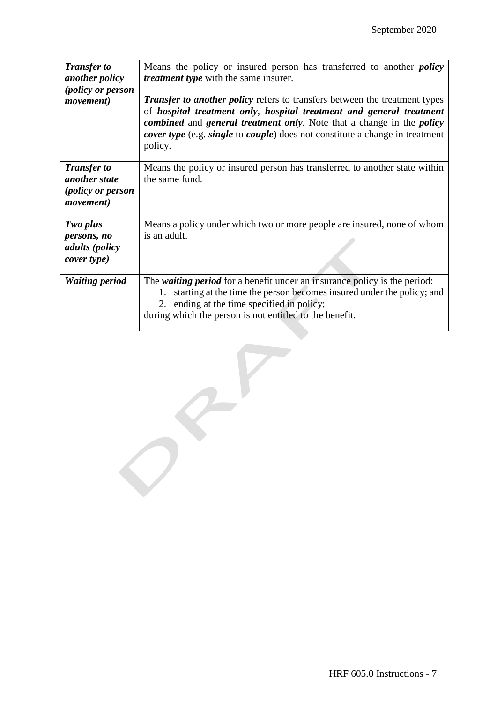| <b>Transfer to</b><br>another policy<br>(policy or person<br><i>movement</i> )       | Means the policy or insured person has transferred to another <i>policy</i><br><i>treatment type</i> with the same insurer.<br><b>Transfer to another policy refers to transfers between the treatment types</b><br>of hospital treatment only, hospital treatment and general treatment<br><i>combined</i> and <i>general treatment only</i> . Note that a change in the <i>policy</i><br><i>cover type</i> (e.g. <i>single</i> to <i>couple</i> ) does not constitute a change in treatment<br>policy. |
|--------------------------------------------------------------------------------------|----------------------------------------------------------------------------------------------------------------------------------------------------------------------------------------------------------------------------------------------------------------------------------------------------------------------------------------------------------------------------------------------------------------------------------------------------------------------------------------------------------|
| <b>Transfer to</b><br>another state<br><i>(policy or person</i><br><i>movement</i> ) | Means the policy or insured person has transferred to another state within<br>the same fund.                                                                                                                                                                                                                                                                                                                                                                                                             |
| Two plus<br>persons, no<br>adults (policy<br>cover type)                             | Means a policy under which two or more people are insured, none of whom<br>is an adult.                                                                                                                                                                                                                                                                                                                                                                                                                  |
| <b>Waiting period</b>                                                                | The <i>waiting period</i> for a benefit under an insurance policy is the period:<br>1. starting at the time the person becomes insured under the policy; and<br>2. ending at the time specified in policy;<br>during which the person is not entitled to the benefit.                                                                                                                                                                                                                                    |

Service of the contract of the contract of

 $\mathcal{C}^{\prime}$ 

 $\bigcirc$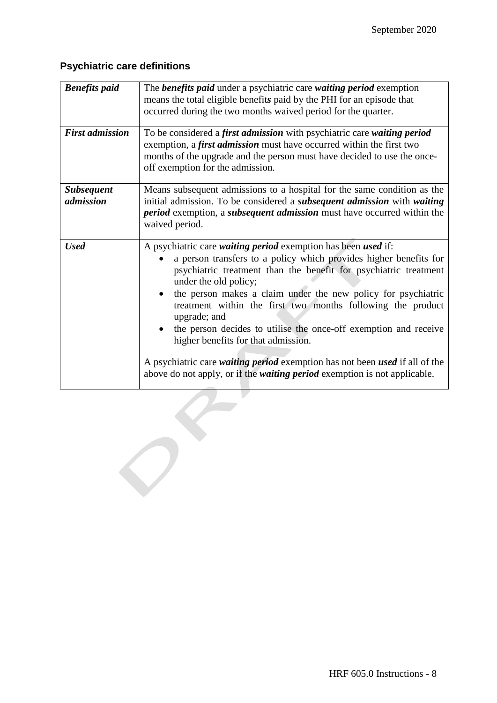## **Psychiatric care definitions**

| <b>Benefits</b> paid           | The <b>benefits paid</b> under a psychiatric care waiting period exemption<br>means the total eligible benefits paid by the PHI for an episode that<br>occurred during the two months waived period for the quarter.                                                                                                                                                                                                                                                                                                                                                                                                                                          |
|--------------------------------|---------------------------------------------------------------------------------------------------------------------------------------------------------------------------------------------------------------------------------------------------------------------------------------------------------------------------------------------------------------------------------------------------------------------------------------------------------------------------------------------------------------------------------------------------------------------------------------------------------------------------------------------------------------|
| <b>First admission</b>         | To be considered a first admission with psychiatric care waiting period<br>exemption, a first admission must have occurred within the first two<br>months of the upgrade and the person must have decided to use the once-<br>off exemption for the admission.                                                                                                                                                                                                                                                                                                                                                                                                |
| <b>Subsequent</b><br>admission | Means subsequent admissions to a hospital for the same condition as the<br>initial admission. To be considered a <i>subsequent admission</i> with <i>waiting</i><br><i>period</i> exemption, a <i>subsequent admission</i> must have occurred within the<br>waived period.                                                                                                                                                                                                                                                                                                                                                                                    |
| <b>Used</b>                    | A psychiatric care waiting period exemption has been used if:<br>a person transfers to a policy which provides higher benefits for<br>psychiatric treatment than the benefit for psychiatric treatment<br>under the old policy;<br>the person makes a claim under the new policy for psychiatric<br>treatment within the first two months following the product<br>upgrade; and<br>the person decides to utilise the once-off exemption and receive<br>higher benefits for that admission.<br>A psychiatric care waiting period exemption has not been used if all of the<br>above do not apply, or if the <i>waiting period</i> exemption is not applicable. |
|                                |                                                                                                                                                                                                                                                                                                                                                                                                                                                                                                                                                                                                                                                               |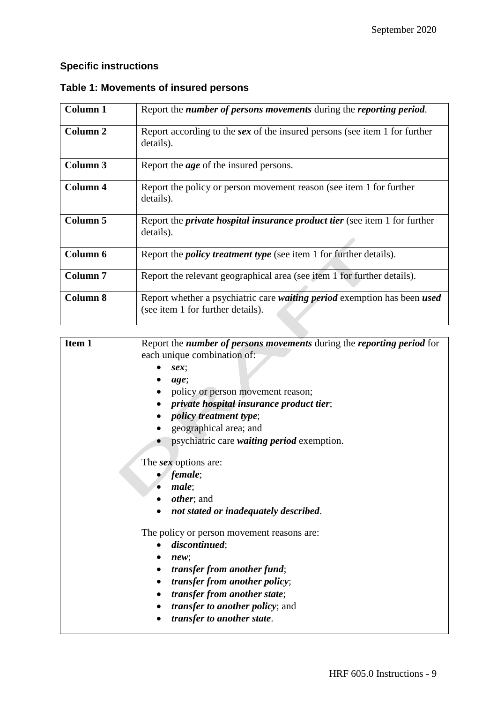## **Specific instructions**

| <b>Column 1</b>     | Report the number of persons movements during the reporting period.                                           |
|---------------------|---------------------------------------------------------------------------------------------------------------|
| <b>Column 2</b>     | Report according to the sex of the insured persons (see item 1 for further<br>details).                       |
| Column 3            | Report the <i>age</i> of the insured persons.                                                                 |
| Column 4            | Report the policy or person movement reason (see item 1 for further<br>details).                              |
| <b>Column 5</b>     | Report the <i>private hospital insurance product tier</i> (see item 1 for further<br>details).                |
| Column 6            | Report the <i>policy treatment type</i> (see item 1 for further details).                                     |
| Column <sub>7</sub> | Report the relevant geographical area (see item 1 for further details).                                       |
| <b>Column 8</b>     | Report whether a psychiatric care waiting period exemption has been used<br>(see item 1 for further details). |

 $\overline{\phantom{a}}$ 

## **Table 1: Movements of insured persons**

| Item 1 | Report the number of persons movements during the reporting period for |
|--------|------------------------------------------------------------------------|
|        | each unique combination of:                                            |
|        | sex;                                                                   |
|        | age;                                                                   |
|        | policy or person movement reason;                                      |
|        | private hospital insurance product tier;                               |
|        | <i>policy treatment type</i> ;                                         |
|        | geographical area; and                                                 |
|        | psychiatric care <i>waiting period</i> exemption.                      |
|        | The <i>sex</i> options are:                                            |
|        | female;                                                                |
|        | male;                                                                  |
|        | <i>other</i> ; and                                                     |
|        | not stated or inadequately described.                                  |
|        | The policy or person movement reasons are:                             |
|        | discontinued;                                                          |
|        | new;                                                                   |
|        | <i>transfer from another fund</i> ;<br>$\bullet$                       |
|        | <i>transfer from another policy;</i><br>$\bullet$                      |
|        | transfer from another state;<br>$\bullet$                              |
|        | <i>transfer to another policy</i> ; and<br>$\bullet$                   |
|        | transfer to another state.                                             |
|        |                                                                        |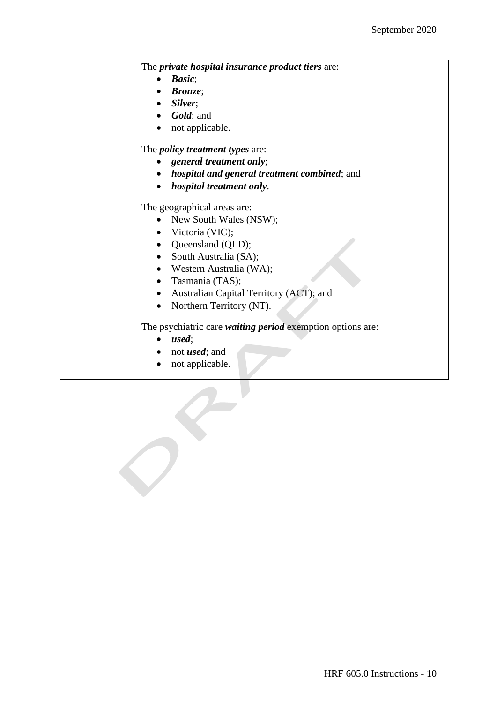| The <i>private hospital insurance product tiers</i> are:          |
|-------------------------------------------------------------------|
| Basic;                                                            |
| <b>Bronze</b> :                                                   |
| $\bullet$ Silver;                                                 |
| Gold; and                                                         |
| not applicable.                                                   |
| The <i>policy treatment types</i> are:                            |
| general treatment only;                                           |
| <i>hospital and general treatment combined; and</i>               |
| hospital treatment only.                                          |
| The geographical areas are:                                       |
| New South Wales (NSW);                                            |
| Victoria (VIC);                                                   |
| • Queensland (QLD);                                               |
| South Australia (SA);                                             |
| • Western Australia (WA);                                         |
| Tasmania (TAS);                                                   |
| Australian Capital Territory (ACT); and                           |
| Northern Territory (NT).                                          |
| The psychiatric care <i>waiting period</i> exemption options are: |
| used;                                                             |
| not <i>used</i> ; and                                             |
| not applicable.                                                   |
|                                                                   |

 $\sigma$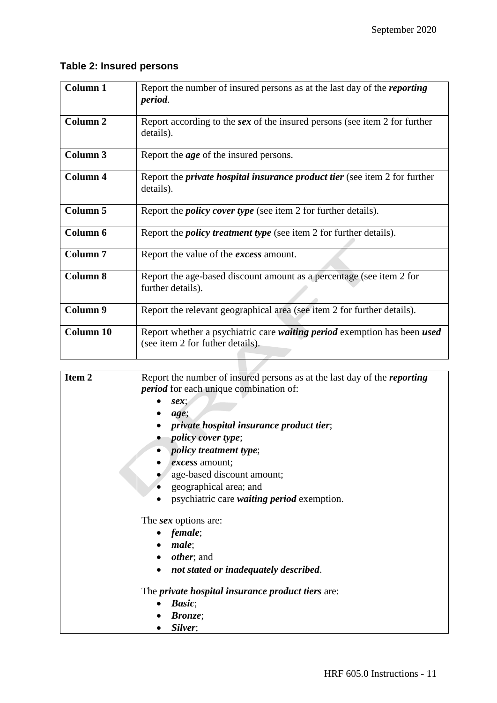## **Table 2: Insured persons**

| <b>Column 1</b>     | Report the number of insured persons as at the last day of the <i>reporting</i><br>period.                   |
|---------------------|--------------------------------------------------------------------------------------------------------------|
| <b>Column 2</b>     | Report according to the sex of the insured persons (see item 2 for further<br>details).                      |
| <b>Column 3</b>     | Report the <i>age</i> of the insured persons.                                                                |
| <b>Column 4</b>     | Report the <i>private hospital insurance product tier</i> (see item 2 for further<br>details).               |
| Column <sub>5</sub> | Report the <i>policy cover type</i> (see item 2 for further details).                                        |
| Column 6            | Report the <i>policy treatment type</i> (see item 2 for further details).                                    |
| <b>Column 7</b>     | Report the value of the <i>excess</i> amount.                                                                |
| <b>Column 8</b>     | Report the age-based discount amount as a percentage (see item 2 for<br>further details).                    |
| Column 9            | Report the relevant geographical area (see item 2 for further details).                                      |
| <b>Column 10</b>    | Report whether a psychiatric care waiting period exemption has been used<br>(see item 2 for futher details). |

| Item <sub>2</sub> | Report the number of insured persons as at the last day of the <i>reporting</i> |
|-------------------|---------------------------------------------------------------------------------|
|                   | <i>period</i> for each unique combination of:                                   |
|                   |                                                                                 |
|                   | sex                                                                             |
|                   | age;                                                                            |
|                   | private hospital insurance product tier;                                        |
|                   | <i>policy cover type;</i>                                                       |
|                   | <i>policy treatment type;</i>                                                   |
|                   | <i>excess</i> amount;                                                           |
|                   | age-based discount amount;                                                      |
|                   | geographical area; and                                                          |
|                   | psychiatric care <i>waiting period</i> exemption.                               |
|                   | The <i>sex</i> options are:                                                     |
|                   | female;                                                                         |
|                   | male;                                                                           |
|                   | <i>other</i> ; and                                                              |
|                   | not stated or inadequately described.                                           |
|                   | The <i>private hospital insurance product tiers</i> are:                        |
|                   | Basic;                                                                          |
|                   | <i>Bronze</i> ;                                                                 |
|                   | Silver;                                                                         |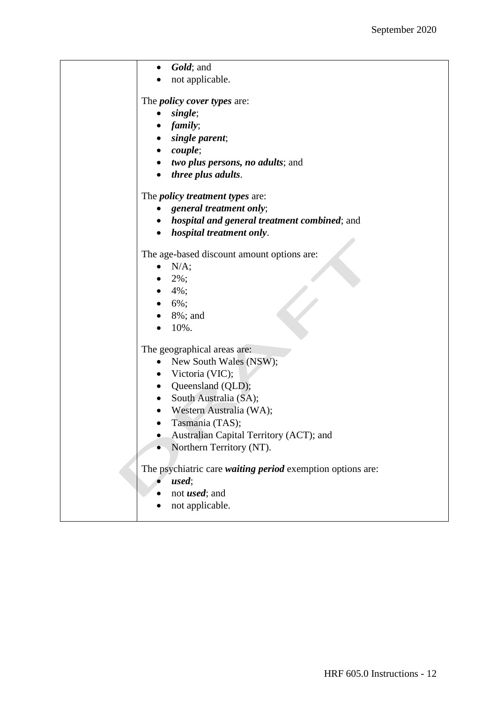| Gold; and                                                  |
|------------------------------------------------------------|
| not applicable.                                            |
|                                                            |
| The <i>policy cover types</i> are:                         |
| single;                                                    |
| family;                                                    |
| single parent;                                             |
| <i>couple</i> ;                                            |
| two plus persons, no adults; and                           |
| three plus adults.                                         |
| The <i>policy treatment types</i> are:                     |
| general treatment only;                                    |
| <i>hospital and general treatment combined; and</i>        |
| hospital treatment only.                                   |
| The age-based discount amount options are:                 |
| N/A;                                                       |
| 2%;                                                        |
| $4\%$ ;                                                    |
| $6\%$ ;                                                    |
| 8%; and                                                    |
| 10%.                                                       |
|                                                            |
| The geographical areas are:                                |
| New South Wales (NSW);                                     |
| Victoria (VIC);                                            |
| Queensland (QLD);<br>$\bullet$                             |
| South Australia (SA);                                      |
| Western Australia (WA);                                    |
| Tasmania (TAS);                                            |
| Australian Capital Territory (ACT); and                    |
| Northern Territory (NT).                                   |
| The psychiatric care waiting period exemption options are: |
| used;                                                      |
| not <i>used</i> ; and                                      |
| not applicable.                                            |
|                                                            |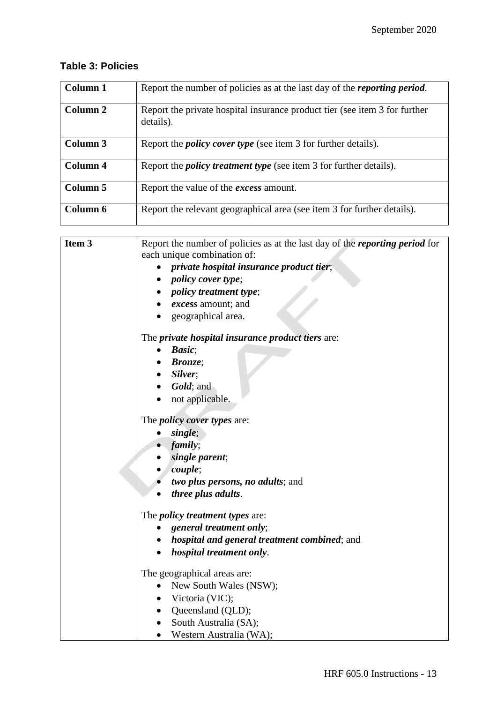## **Table 3: Policies**

| Column 1 | Report the number of policies as at the last day of the <i>reporting period</i> .       |
|----------|-----------------------------------------------------------------------------------------|
| Column 2 | Report the private hospital insurance product tier (see item 3 for further<br>details). |
| Column 3 | Report the <i>policy cover type</i> (see item 3 for further details).                   |
| Column 4 | Report the <i>policy treatment type</i> (see item 3 for further details).               |
| Column 5 | Report the value of the <i>excess</i> amount.                                           |
| Column 6 | Report the relevant geographical area (see item 3 for further details).                 |

| Item 3 | Report the number of policies as at the last day of the <i>reporting period</i> for |
|--------|-------------------------------------------------------------------------------------|
|        | each unique combination of:                                                         |
|        | <i>private hospital insurance product tier</i> ;                                    |
|        | <i>policy cover type</i> ;                                                          |
|        | <i>policy treatment type</i> ;                                                      |
|        | • excess amount; and                                                                |
|        | geographical area.                                                                  |
|        | The <i>private hospital insurance product tiers</i> are:                            |
|        | Basic;<br>$\bullet$                                                                 |
|        | <b>Bronze</b> :                                                                     |
|        | Silver;                                                                             |
|        | Gold; and                                                                           |
|        | not applicable.                                                                     |
|        |                                                                                     |
|        | The <i>policy cover types</i> are:                                                  |
|        | single;                                                                             |
|        | family;                                                                             |
|        | single parent;<br>couple;                                                           |
|        | two plus persons, no adults; and                                                    |
|        | three plus adults.                                                                  |
|        |                                                                                     |
|        | The <i>policy treatment types</i> are:                                              |
|        | general treatment only;                                                             |
|        | hospital and general treatment combined; and<br>$\bullet$                           |
|        | hospital treatment only.                                                            |
|        | The geographical areas are:                                                         |
|        | New South Wales (NSW);                                                              |
|        | Victoria (VIC);                                                                     |
|        | Queensland (QLD);<br>$\bullet$                                                      |
|        | South Australia (SA);<br>$\bullet$                                                  |
|        | • Western Australia (WA);                                                           |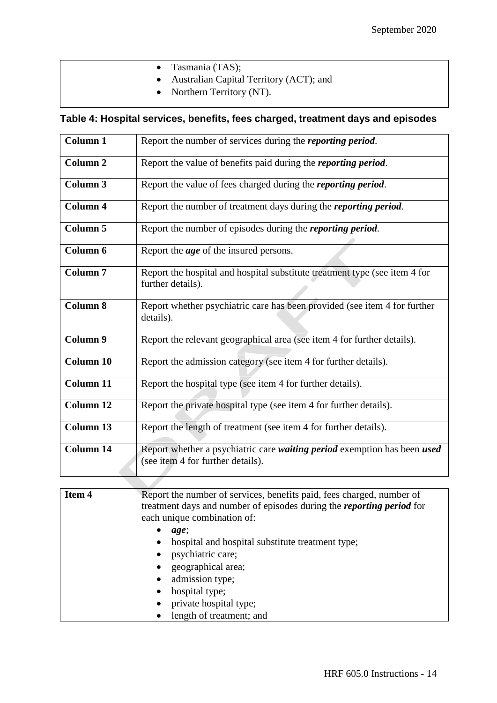|  | • Tasmania $(TAS)$ ;<br>• Australian Capital Territory (ACT); and<br>• Northern Territory (NT). |  |
|--|-------------------------------------------------------------------------------------------------|--|
|  |                                                                                                 |  |

## **Table 4: Hospital services, benefits, fees charged, treatment days and episodes**

| <b>Column 1</b>     | Report the number of services during the <i>reporting period</i> .                                            |
|---------------------|---------------------------------------------------------------------------------------------------------------|
| Column <sub>2</sub> | Report the value of benefits paid during the <i>reporting period</i> .                                        |
| <b>Column 3</b>     | Report the value of fees charged during the <i>reporting period</i> .                                         |
| <b>Column 4</b>     | Report the number of treatment days during the <i>reporting period</i> .                                      |
| Column 5            | Report the number of episodes during the <i>reporting period</i> .                                            |
| Column 6            | Report the <i>age</i> of the insured persons.                                                                 |
| <b>Column 7</b>     | Report the hospital and hospital substitute treatment type (see item 4 for<br>further details).               |
| <b>Column 8</b>     | Report whether psychiatric care has been provided (see item 4 for further<br>details).                        |
| Column 9            | Report the relevant geographical area (see item 4 for further details).                                       |
| Column 10           | Report the admission category (see item 4 for further details).                                               |
| <b>Column 11</b>    | Report the hospital type (see item 4 for further details).                                                    |
| Column 12           | Report the private hospital type (see item 4 for further details).                                            |
| <b>Column 13</b>    | Report the length of treatment (see item 4 for further details).                                              |
| <b>Column 14</b>    | Report whether a psychiatric care waiting period exemption has been used<br>(see item 4 for further details). |

| Item 4<br>Report the number of services, benefits paid, fees charged, number of<br>treatment days and number of episodes during the <i>reporting period</i> for<br>each unique combination of: |                                                  |
|------------------------------------------------------------------------------------------------------------------------------------------------------------------------------------------------|--------------------------------------------------|
|                                                                                                                                                                                                | age;                                             |
|                                                                                                                                                                                                | hospital and hospital substitute treatment type; |
|                                                                                                                                                                                                | psychiatric care;                                |
|                                                                                                                                                                                                | geographical area;<br>$\bullet$                  |
|                                                                                                                                                                                                | admission type;                                  |
|                                                                                                                                                                                                | hospital type;                                   |
|                                                                                                                                                                                                | private hospital type;                           |
|                                                                                                                                                                                                | length of treatment; and                         |